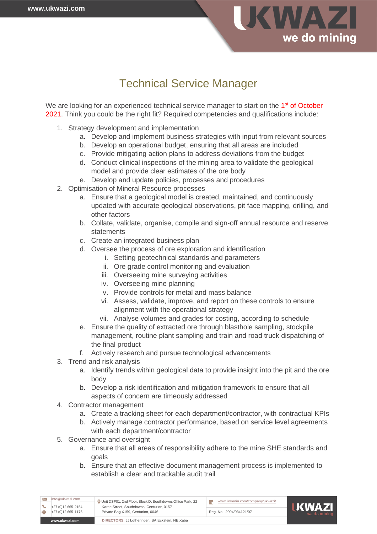

# Technical Service Manager

We are looking for an experienced technical service manager to start on the 1<sup>st</sup> of October 2021. Think you could be the right fit? Required competencies and qualifications include:

- 1. Strategy development and implementation
	- a. Develop and implement business strategies with input from relevant sources
	- b. Develop an operational budget, ensuring that all areas are included
	- c. Provide mitigating action plans to address deviations from the budget
	- d. Conduct clinical inspections of the mining area to validate the geological model and provide clear estimates of the ore body
	- e. Develop and update policies, processes and procedures
- 2. Optimisation of Mineral Resource processes
	- a. Ensure that a geological model is created, maintained, and continuously updated with accurate geological observations, pit face mapping, drilling, and other factors
	- b. Collate, validate, organise, compile and sign-off annual resource and reserve statements
	- c. Create an integrated business plan
	- d. Oversee the process of ore exploration and identification
		- i. Setting geotechnical standards and parameters
		- ii. Ore grade control monitoring and evaluation
		- iii. Overseeing mine surveying activities
		- iv. Overseeing mine planning

 Unit DSF01, 2nd Floor, Block D, Southdowns Office Park, 22 Karee Street, Southdowns, Centurion,0157

Private Bag X159, Centurion, 0046 +27 (0)12 665 1176 Reg. No. 2004/034121/07

- v. Provide controls for metal and mass balance
- vi. Assess, validate, improve, and report on these controls to ensure alignment with the operational strategy
- vii. Analyse volumes and grades for costing, according to schedule
- e. Ensure the quality of extracted ore through blasthole sampling, stockpile management, routine plant sampling and train and road truck dispatching of the final product
- f. Actively research and pursue technological advancements
- 3. Trend and risk analysis
	- a. Identify trends within geological data to provide insight into the pit and the ore body
	- b. Develop a risk identification and mitigation framework to ensure that all aspects of concern are timeously addressed
- 4. Contractor management
	- a. Create a tracking sheet for each department/contractor, with contractual KPIs
	- b. Actively manage contractor performance, based on service level agreements with each department/contractor
- 5. Governance and oversight

**[www.ukwazi.com](http://www.ukwazi.com/) DIRECTORS**: JJ Lotheringen, SA Eckstein, NE Xaba

[info@ukwazi.com](mailto:info@ukwazi.com)

+27 (0)12 665 2154

- a. Ensure that all areas of responsibility adhere to the mine SHE standards and goals
- b. Ensure that an effective document management process is implemented to establish a clear and trackable audit trail

[www.linkedin.com/company/ukwazi/](http://www.linkedin.com/company/ukwazi/)

**IKWAZI**